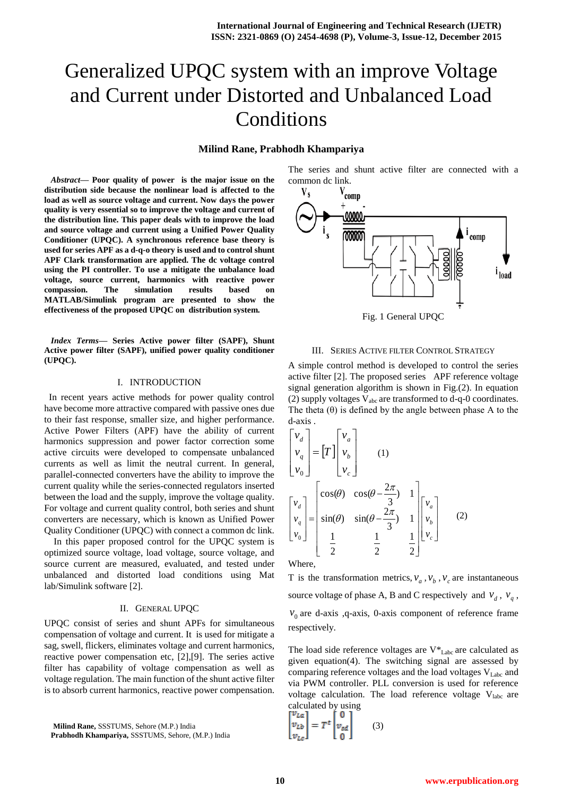# Generalized UPQC system with an improve Voltage and Current under Distorted and Unbalanced Load Conditions

# **Milind Rane, Prabhodh Khampariya**

*Abstract***— Poor quality of power is the major issue on the distribution side because the nonlinear load is affected to the load as well as source voltage and current. Now days the power quality is very essential so to improve the voltage and current of the distribution line. This paper deals with to improve the load and source voltage and current using a Unified Power Quality Conditioner (UPQC). A synchronous reference base theory is used for series APF as a d-q-o theory is used and to control shunt APF Clark transformation are applied. The dc voltage control using the PI controller. To use a mitigate the unbalance load voltage, source current, harmonics with reactive power compassion. The simulation results based on MATLAB/Simulink program are presented to show the effectiveness of the proposed UPQC on distribution system.**

*Index Terms***— Series Active power filter (SAPF), Shunt Active power filter (SAPF), unified power quality conditioner (UPQC).**

## I. INTRODUCTION

 In recent years active methods for power quality control have become more attractive compared with passive ones due to their fast response, smaller size, and higher performance. Active Power Filters (APF) have the ability of current harmonics suppression and power factor correction some active circuits were developed to compensate unbalanced currents as well as limit the neutral current. In general, parallel-connected converters have the ability to improve the current quality while the series-connected regulators inserted between the load and the supply, improve the voltage quality. For voltage and current quality control, both series and shunt converters are necessary, which is known as Unified Power Quality Conditioner (UPQC) with connect a common dc link.

In this paper proposed control for the UPQC system is optimized source voltage, load voltage, source voltage, and source current are measured, evaluated, and tested under unbalanced and distorted load conditions using Mat lab/Simulink software [2].

## II. GENERAL UPQC

UPQC consist of series and shunt APFs for simultaneous compensation of voltage and current. It is used for mitigate a sag, swell, flickers, eliminates voltage and current harmonics, reactive power compensation etc, [2],[9]. The series active filter has capability of voltage compensation as well as voltage regulation. The main function of the shunt active filter is to absorb current harmonics, reactive power compensation.

**Milind Rane,** SSSTUMS, Sehore (M.P.) India

**Prabhodh Khampariya,** SSSTUMS, Sehore, (M.P.) India

The series and shunt active filter are connected with a common dc link.



#### III. SERIES ACTIVE FILTER CONTROL STRATEGY

A simple control method is developed to control the series active filter [2]. The proposed series APF reference voltage signal generation algorithm is shown in Fig.(2). In equation (2) supply voltages  $V_{abc}$  are transformed to d-q-0 coordinates. The theta  $(\theta)$  is defined by the angle between phase A to the d-axis .

$$
\begin{bmatrix} v_d \\ v_q \\ v_0 \end{bmatrix} = \begin{bmatrix} T \end{bmatrix} \begin{bmatrix} v_a \\ v_b \\ v_c \end{bmatrix}
$$
 (1)  

$$
\begin{bmatrix} v_d \\ v_q \\ v_0 \end{bmatrix} = \begin{bmatrix} \cos(\theta) & \cos(\theta - \frac{2\pi}{3}) & 1 \\ \sin(\theta) & \sin(\theta - \frac{2\pi}{3}) & 1 \\ \frac{1}{2} & \frac{1}{2} & \frac{1}{2} \end{bmatrix} \begin{bmatrix} v_a \\ v_b \\ v_c \end{bmatrix}
$$
 (2)

Where,

T is the transformation metrics,  $v_a$ ,  $v_b$ ,  $v_c$  are instantaneous source voltage of phase A, B and C respectively and  $v_d$ ,  $v_q$ ,  $v_0$  are d-axis, q-axis, 0-axis component of reference frame respectively.

The load side reference voltages are  $V^*$ <sub>Labc</sub> are calculated as given equation(4). The switching signal are assessed by comparing reference voltages and the load voltages  $V_{\text{Labc}}$  and via PWM controller. PLL conversion is used for reference voltage calculation. The load reference voltage  $V_{\text{label}}$  are calculated by using

$$
\begin{bmatrix} v_{La} \\ v_{Lb} \\ v_{Lc} \end{bmatrix} = T^t \begin{bmatrix} 0 \\ v_{sd} \\ 0 \end{bmatrix}
$$
 (3)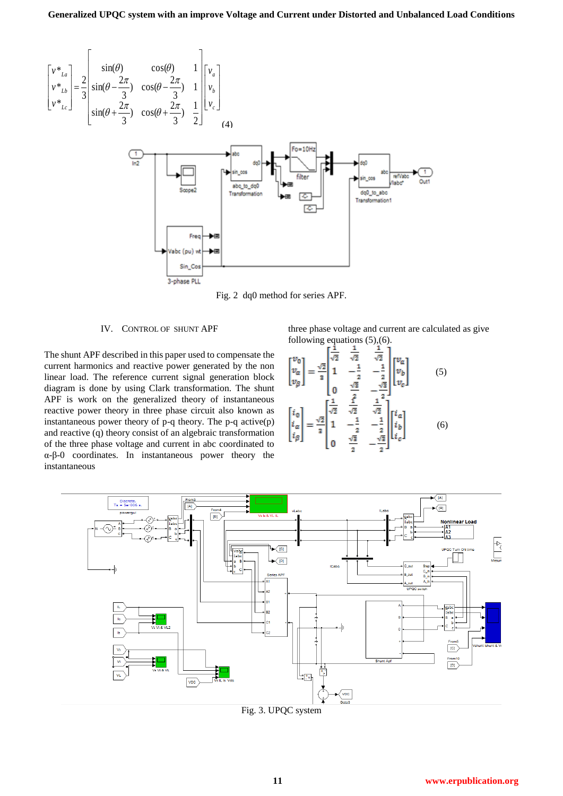

Fig. 2 dq0 method for series APF.

# IV. CONTROL OF SHUNT APF

The shunt APF described in this paper used to compensate the current harmonics and reactive power generated by the non linear load. The reference current signal generation block diagram is done by using Clark transformation. The shunt APF is work on the generalized theory of instantaneous reactive power theory in three phase circuit also known as instantaneous power theory of  $p-q$  theory. The  $p-q$  active $(p)$ and reactive (q) theory consist of an algebraic transformation of the three phase voltage and current in abc coordinated to α-β-0 coordinates. In instantaneous power theory the instantaneous

three phase voltage and current are calculated as give following equations (5),(6).

$$
\begin{bmatrix} v_0 \\ v_\alpha \\ v_\beta \end{bmatrix} = \frac{\sqrt{2}}{3} \begin{bmatrix} \frac{1}{\sqrt{2}} & \frac{1}{\sqrt{2}} & \frac{1}{\sqrt{2}} \\ 1 & -\frac{1}{2} & -\frac{1}{2} \\ 0 & \frac{\sqrt{2}}{2} & -\frac{\sqrt{2}}{2} \\ 0 & \frac{1}{2} & -\frac{\sqrt{2}}{2} \end{bmatrix} \begin{bmatrix} v_a \\ v_b \\ v_c \end{bmatrix}
$$
 (5)  

$$
\begin{bmatrix} i_0 \\ i_\alpha \\ i_\beta \end{bmatrix} = \frac{\sqrt{2}}{3} \begin{bmatrix} \frac{1}{\sqrt{2}} & \frac{1}{\sqrt{2}} & \frac{1}{\sqrt{2}} \\ 1 & -\frac{1}{2} & -\frac{1}{2} \\ 0 & \frac{\sqrt{2}}{2} & -\frac{\sqrt{2}}{2} \end{bmatrix} \begin{bmatrix} i_a \\ i_b \\ i_c \end{bmatrix}
$$
 (6)



Fig. 3. UPQC system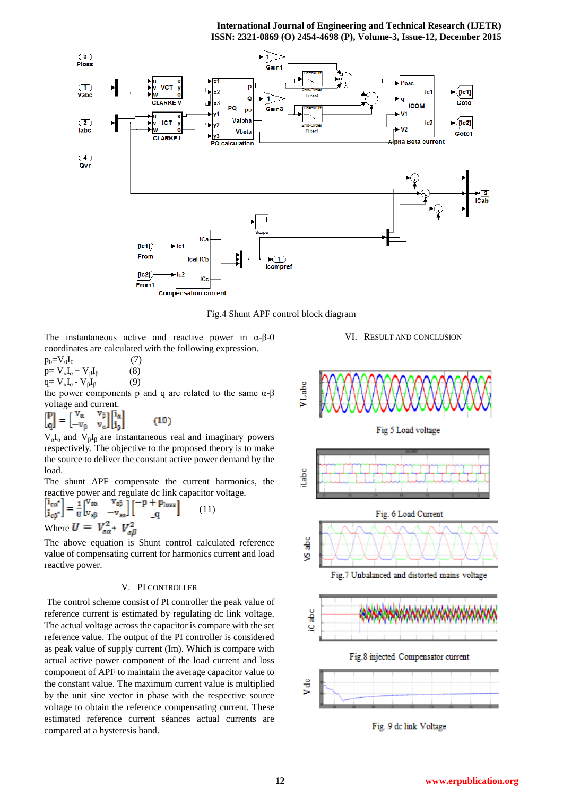### **International Journal of Engineering and Technical Research (IJETR) ISSN: 2321-0869 (O) 2454-4698 (P), Volume-3, Issue-12, December 2015**



Fig.4 Shunt APF control block diagram

The instantaneous active and reactive power in  $\alpha$ - $\beta$ - $\alpha$ coordinates are calculated with the following expression.

 $p_0 = V_0 I_0$  (7)  $p= V_{\alpha}I_{\alpha} + V_{\beta}I_{\beta}$  (8) q=  $V_\alpha I_\alpha$  -  $V_\beta I_\beta$  (9)

the power components p and q are related to the same  $α$ -β

voltage and current.<br>  $\begin{bmatrix} P \\ \Omega \end{bmatrix} = \begin{bmatrix} v_{\alpha} & v_{\beta} \\ -v_{\beta} & v_{\alpha} \end{bmatrix} \begin{bmatrix} i_{\alpha} \\ i_{\beta} \end{bmatrix}$  $\genfrac{[}{]}{0pt}{}{p}{q}$  $(10)$ 

 $V_aI_a$  and  $V_bI_b$  are instantaneous real and imaginary powers respectively. The objective to the proposed theory is to make the source to deliver the constant active power demand by the load.

The shunt APF compensate the current harmonics, the reactive power and regulate dc link capacitor voltage.

$$
\begin{bmatrix} 1_{\text{ca}}^* \\ i_{\text{c}\beta}^* \end{bmatrix} = \frac{1}{U} \begin{bmatrix} V_{\text{sa}} & V_{\text{sp}} \\ V_{\text{sp}} & -V_{\text{sa}} \end{bmatrix} \begin{bmatrix} -p + p_{\text{loss}} \\ q \end{bmatrix} \tag{11}
$$
  
Where  $U = V_{\text{sa}}^2 + V_{\text{sp}}^2$ 

The above equation is Shunt control calculated reference value of compensating current for harmonics current and load reactive power.

# V. PI CONTROLLER

The control scheme consist of PI controller the peak value of reference current is estimated by regulating dc link voltage. The actual voltage across the capacitor is compare with the set reference value. The output of the PI controller is considered as peak value of supply current (Im). Which is compare with actual active power component of the load current and loss component of APF to maintain the average capacitor value to the constant value. The maximum current value is multiplied by the unit sine vector in phase with the respective source voltage to obtain the reference compensating current. These estimated reference current séances actual currents are compared at a hysteresis band.

VI. RESULT AND CONCLUSION



Fig. 9 dc link Voltage